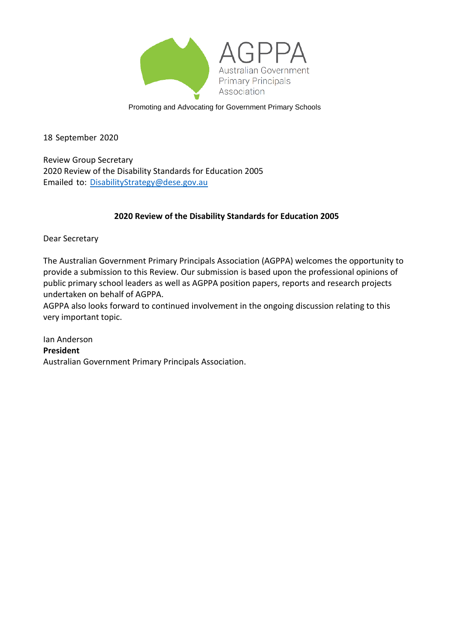

Promoting and Advocating for Government Primary Schools

18 September 2020

Review Group Secretary 2020 Review of the Disability Standards for Education 2005 Emailed to: [DisabilityStrategy@dese.gov.au](mailto:DisabilityStrategy@dese.gov.au)

#### **2020 Review of the Disability Standards for Education 2005**

Dear Secretary

The Australian Government Primary Principals Association (AGPPA) welcomes the opportunity to provide a submission to this Review. Our submission is based upon the professional opinions of public primary school leaders as well as AGPPA position papers, reports and research projects undertaken on behalf of AGPPA.

AGPPA also looks forward to continued involvement in the ongoing discussion relating to this very important topic.

Ian Anderson **President**  Australian Government Primary Principals Association.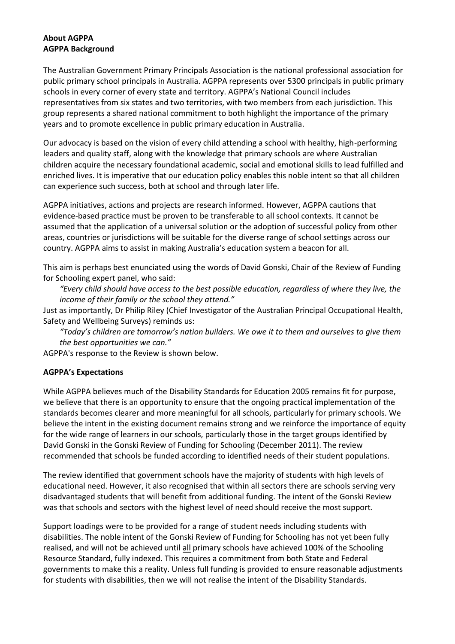#### **About AGPPA AGPPA Background**

The Australian Government Primary Principals Association is the national professional association for public primary school principals in Australia. AGPPA represents over 5300 principals in public primary schools in every corner of every state and territory. AGPPA's National Council includes representatives from six states and two territories, with two members from each jurisdiction. This group represents a shared national commitment to both highlight the importance of the primary years and to promote excellence in public primary education in Australia.

Our advocacy is based on the vision of every child attending a school with healthy, high-performing leaders and quality staff, along with the knowledge that primary schools are where Australian children acquire the necessary foundational academic, social and emotional skills to lead fulfilled and enriched lives. It is imperative that our education policy enables this noble intent so that all children can experience such success, both at school and through later life.

AGPPA initiatives, actions and projects are research informed. However, AGPPA cautions that evidence-based practice must be proven to be transferable to all school contexts. It cannot be assumed that the application of a universal solution or the adoption of successful policy from other areas, countries or jurisdictions will be suitable for the diverse range of school settings across our country. AGPPA aims to assist in making Australia's education system a beacon for all.

This aim is perhaps best enunciated using the words of David Gonski, Chair of the Review of Funding for Schooling expert panel, who said:

*"Every child should have access to the best possible education, regardless of where they live, the income of their family or the school they attend."*

Just as importantly, Dr Philip Riley (Chief Investigator of the Australian Principal Occupational Health, Safety and Wellbeing Surveys) reminds us:

*"Today's children are tomorrow's nation builders. We owe it to them and ourselves to give them the best opportunities we can."*

AGPPA's response to the Review is shown below.

#### **AGPPA's Expectations**

While AGPPA believes much of the Disability Standards for Education 2005 remains fit for purpose, we believe that there is an opportunity to ensure that the ongoing practical implementation of the standards becomes clearer and more meaningful for all schools, particularly for primary schools. We believe the intent in the existing document remains strong and we reinforce the importance of equity for the wide range of learners in our schools, particularly those in the target groups identified by David Gonski in the Gonski Review of Funding for Schooling (December 2011). The review recommended that schools be funded according to identified needs of their student populations.

The review identified that government schools have the majority of students with high levels of educational need. However, it also recognised that within all sectors there are schools serving very disadvantaged students that will benefit from additional funding. The intent of the Gonski Review was that schools and sectors with the highest level of need should receive the most support.

Support loadings were to be provided for a range of student needs including students with disabilities. The noble intent of the Gonski Review of Funding for Schooling has not yet been fully realised, and will not be achieved until all primary schools have achieved 100% of the Schooling Resource Standard, fully indexed. This requires a commitment from both State and Federal governments to make this a reality. Unless full funding is provided to ensure reasonable adjustments for students with disabilities, then we will not realise the intent of the Disability Standards.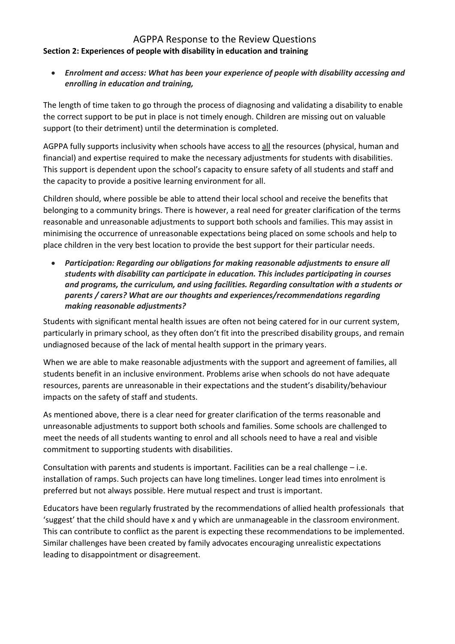#### AGPPA Response to the Review Questions **Section 2: Experiences of people with disability in education and training**

• *Enrolment and access: What has been your experience of people with disability accessing and enrolling in education and training,*

The length of time taken to go through the process of diagnosing and validating a disability to enable the correct support to be put in place is not timely enough. Children are missing out on valuable support (to their detriment) until the determination is completed.

AGPPA fully supports inclusivity when schools have access to all the resources (physical, human and financial) and expertise required to make the necessary adjustments for students with disabilities. This support is dependent upon the school's capacity to ensure safety of all students and staff and the capacity to provide a positive learning environment for all.

Children should, where possible be able to attend their local school and receive the benefits that belonging to a community brings. There is however, a real need for greater clarification of the terms reasonable and unreasonable adjustments to support both schools and families. This may assist in minimising the occurrence of unreasonable expectations being placed on some schools and help to place children in the very best location to provide the best support for their particular needs.

• *Participation: Regarding our obligations for making reasonable adjustments to ensure all students with disability can participate in education. This includes participating in courses and programs, the curriculum, and using facilities. Regarding consultation with a students or parents / carers? What are our thoughts and experiences/recommendations regarding making reasonable adjustments?*

Students with significant mental health issues are often not being catered for in our current system, particularly in primary school, as they often don't fit into the prescribed disability groups, and remain undiagnosed because of the lack of mental health support in the primary years.

When we are able to make reasonable adjustments with the support and agreement of families, all students benefit in an inclusive environment. Problems arise when schools do not have adequate resources, parents are unreasonable in their expectations and the student's disability/behaviour impacts on the safety of staff and students.

As mentioned above, there is a clear need for greater clarification of the terms reasonable and unreasonable adjustments to support both schools and families. Some schools are challenged to meet the needs of all students wanting to enrol and all schools need to have a real and visible commitment to supporting students with disabilities.

Consultation with parents and students is important. Facilities can be a real challenge – i.e. installation of ramps. Such projects can have long timelines. Longer lead times into enrolment is preferred but not always possible. Here mutual respect and trust is important.

Educators have been regularly frustrated by the recommendations of allied health professionals that 'suggest' that the child should have x and y which are unmanageable in the classroom environment. This can contribute to conflict as the parent is expecting these recommendations to be implemented. Similar challenges have been created by family advocates encouraging unrealistic expectations leading to disappointment or disagreement.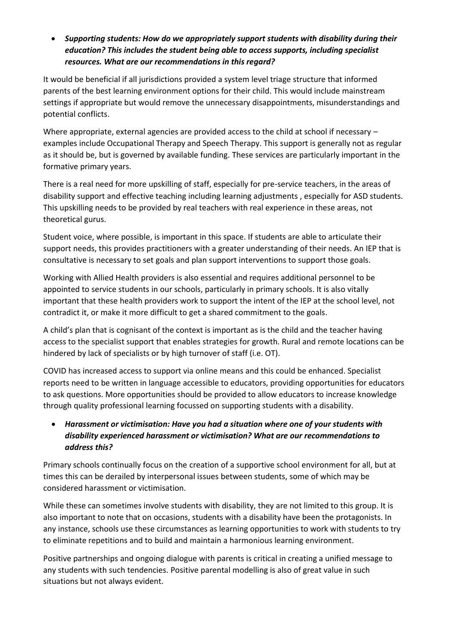## • *Supporting students: How do we appropriately support students with disability during their education? This includes the student being able to access supports, including specialist resources. What are our recommendations in this regard?*

It would be beneficial if all jurisdictions provided a system level triage structure that informed parents of the best learning environment options for their child. This would include mainstream settings if appropriate but would remove the unnecessary disappointments, misunderstandings and potential conflicts.

Where appropriate, external agencies are provided access to the child at school if necessary – examples include Occupational Therapy and Speech Therapy. This support is generally not as regular as it should be, but is governed by available funding. These services are particularly important in the formative primary years.

There is a real need for more upskilling of staff, especially for pre-service teachers, in the areas of disability support and effective teaching including learning adjustments , especially for ASD students. This upskilling needs to be provided by real teachers with real experience in these areas, not theoretical gurus.

Student voice, where possible, is important in this space. If students are able to articulate their support needs, this provides practitioners with a greater understanding of their needs. An IEP that is consultative is necessary to set goals and plan support interventions to support those goals.

Working with Allied Health providers is also essential and requires additional personnel to be appointed to service students in our schools, particularly in primary schools. It is also vitally important that these health providers work to support the intent of the IEP at the school level, not contradict it, or make it more difficult to get a shared commitment to the goals.

A child's plan that is cognisant of the context is important as is the child and the teacher having access to the specialist support that enables strategies for growth. Rural and remote locations can be hindered by lack of specialists or by high turnover of staff (i.e. OT).

COVID has increased access to support via online means and this could be enhanced. Specialist reports need to be written in language accessible to educators, providing opportunities for educators to ask questions. More opportunities should be provided to allow educators to increase knowledge through quality professional learning focussed on supporting students with a disability.

## • *Harassment or victimisation: Have you had a situation where one of your students with disability experienced harassment or victimisation? What are our recommendations to address this?*

Primary schools continually focus on the creation of a supportive school environment for all, but at times this can be derailed by interpersonal issues between students, some of which may be considered harassment or victimisation.

While these can sometimes involve students with disability, they are not limited to this group. It is also important to note that on occasions, students with a disability have been the protagonists. In any instance, schools use these circumstances as learning opportunities to work with students to try to eliminate repetitions and to build and maintain a harmonious learning environment.

Positive partnerships and ongoing dialogue with parents is critical in creating a unified message to any students with such tendencies. Positive parental modelling is also of great value in such situations but not always evident.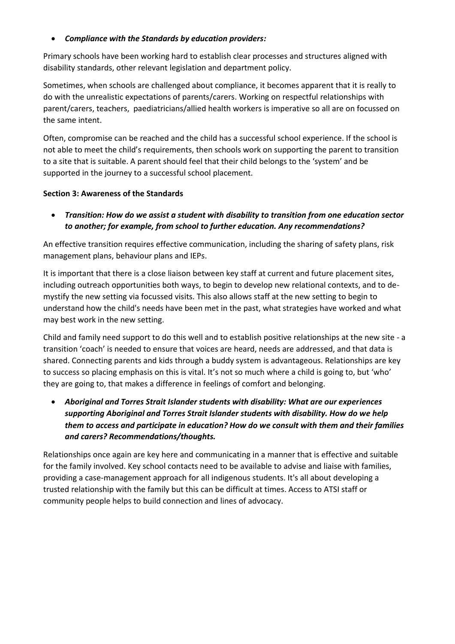#### • *Compliance with the Standards by education providers:*

Primary schools have been working hard to establish clear processes and structures aligned with disability standards, other relevant legislation and department policy.

Sometimes, when schools are challenged about compliance, it becomes apparent that it is really to do with the unrealistic expectations of parents/carers. Working on respectful relationships with parent/carers, teachers, paediatricians/allied health workers is imperative so all are on focussed on the same intent.

Often, compromise can be reached and the child has a successful school experience. If the school is not able to meet the child's requirements, then schools work on supporting the parent to transition to a site that is suitable. A parent should feel that their child belongs to the 'system' and be supported in the journey to a successful school placement.

#### **Section 3: Awareness of the Standards**

• *Transition: How do we assist a student with disability to transition from one education sector to another; for example, from school to further education. Any recommendations?*

An effective transition requires effective communication, including the sharing of safety plans, risk management plans, behaviour plans and IEPs.

It is important that there is a close liaison between key staff at current and future placement sites, including outreach opportunities both ways, to begin to develop new relational contexts, and to demystify the new setting via focussed visits. This also allows staff at the new setting to begin to understand how the child's needs have been met in the past, what strategies have worked and what may best work in the new setting.

Child and family need support to do this well and to establish positive relationships at the new site - a transition 'coach' is needed to ensure that voices are heard, needs are addressed, and that data is shared. Connecting parents and kids through a buddy system is advantageous. Relationships are key to success so placing emphasis on this is vital. It's not so much where a child is going to, but 'who' they are going to, that makes a difference in feelings of comfort and belonging.

• *Aboriginal and Torres Strait Islander students with disability: What are our experiences supporting Aboriginal and Torres Strait Islander students with disability. How do we help them to access and participate in education? How do we consult with them and their families and carers? Recommendations/thoughts.*

Relationships once again are key here and communicating in a manner that is effective and suitable for the family involved. Key school contacts need to be available to advise and liaise with families, providing a case-management approach for all indigenous students. It's all about developing a trusted relationship with the family but this can be difficult at times. Access to ATSI staff or community people helps to build connection and lines of advocacy.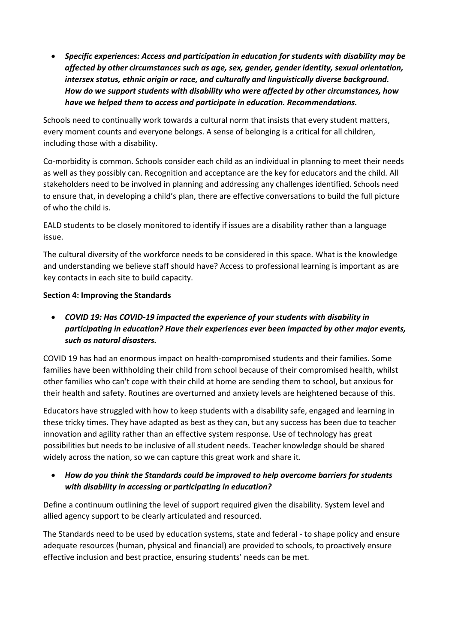• *Specific experiences: Access and participation in education for students with disability may be affected by other circumstances such as age, sex, gender, gender identity, sexual orientation, intersex status, ethnic origin or race, and culturally and linguistically diverse background. How do we support students with disability who were affected by other circumstances, how have we helped them to access and participate in education. Recommendations.*

Schools need to continually work towards a cultural norm that insists that every student matters, every moment counts and everyone belongs. A sense of belonging is a critical for all children, including those with a disability.

Co-morbidity is common. Schools consider each child as an individual in planning to meet their needs as well as they possibly can. Recognition and acceptance are the key for educators and the child. All stakeholders need to be involved in planning and addressing any challenges identified. Schools need to ensure that, in developing a child's plan, there are effective conversations to build the full picture of who the child is.

EALD students to be closely monitored to identify if issues are a disability rather than a language issue.

The cultural diversity of the workforce needs to be considered in this space. What is the knowledge and understanding we believe staff should have? Access to professional learning is important as are key contacts in each site to build capacity.

#### **Section 4: Improving the Standards**

• *COVID 19: Has COVID-19 impacted the experience of your students with disability in participating in education? Have their experiences ever been impacted by other major events, such as natural disasters.*

COVID 19 has had an enormous impact on health-compromised students and their families. Some families have been withholding their child from school because of their compromised health, whilst other families who can't cope with their child at home are sending them to school, but anxious for their health and safety. Routines are overturned and anxiety levels are heightened because of this.

Educators have struggled with how to keep students with a disability safe, engaged and learning in these tricky times. They have adapted as best as they can, but any success has been due to teacher innovation and agility rather than an effective system response. Use of technology has great possibilities but needs to be inclusive of all student needs. Teacher knowledge should be shared widely across the nation, so we can capture this great work and share it.

#### • *How do you think the Standards could be improved to help overcome barriers for students with disability in accessing or participating in education?*

Define a continuum outlining the level of support required given the disability. System level and allied agency support to be clearly articulated and resourced.

The Standards need to be used by education systems, state and federal - to shape policy and ensure adequate resources (human, physical and financial) are provided to schools, to proactively ensure effective inclusion and best practice, ensuring students' needs can be met.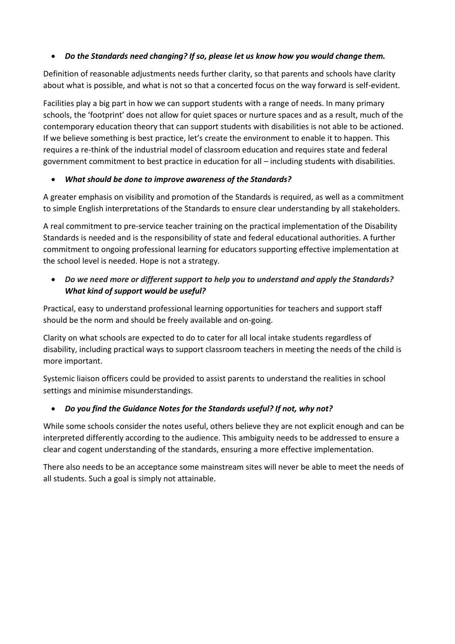## • *Do the Standards need changing? If so, please let us know how you would change them.*

Definition of reasonable adjustments needs further clarity, so that parents and schools have clarity about what is possible, and what is not so that a concerted focus on the way forward is self-evident.

Facilities play a big part in how we can support students with a range of needs. In many primary schools, the 'footprint' does not allow for quiet spaces or nurture spaces and as a result, much of the contemporary education theory that can support students with disabilities is not able to be actioned. If we believe something is best practice, let's create the environment to enable it to happen. This requires a re-think of the industrial model of classroom education and requires state and federal government commitment to best practice in education for all – including students with disabilities.

## • *What should be done to improve awareness of the Standards?*

A greater emphasis on visibility and promotion of the Standards is required, as well as a commitment to simple English interpretations of the Standards to ensure clear understanding by all stakeholders.

A real commitment to pre-service teacher training on the practical implementation of the Disability Standards is needed and is the responsibility of state and federal educational authorities. A further commitment to ongoing professional learning for educators supporting effective implementation at the school level is needed. Hope is not a strategy.

• *Do we need more or different support to help you to understand and apply the Standards? What kind of support would be useful?*

Practical, easy to understand professional learning opportunities for teachers and support staff should be the norm and should be freely available and on-going.

Clarity on what schools are expected to do to cater for all local intake students regardless of disability, including practical ways to support classroom teachers in meeting the needs of the child is more important.

Systemic liaison officers could be provided to assist parents to understand the realities in school settings and minimise misunderstandings.

## • *Do you find the Guidance Notes for the Standards useful? If not, why not?*

While some schools consider the notes useful, others believe they are not explicit enough and can be interpreted differently according to the audience. This ambiguity needs to be addressed to ensure a clear and cogent understanding of the standards, ensuring a more effective implementation.

There also needs to be an acceptance some mainstream sites will never be able to meet the needs of all students. Such a goal is simply not attainable.